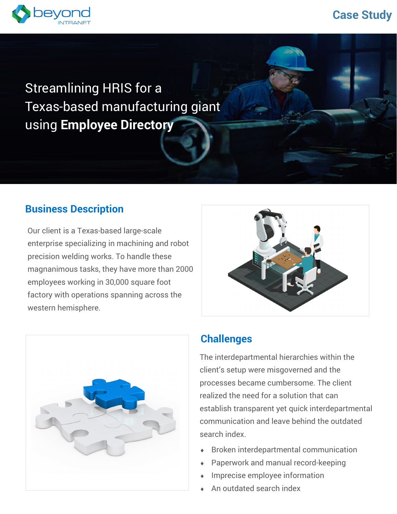# **Case Study**



# Streamlining HRIS for a Texas-based manufacturing giant using **Employee Directory**

## **Business Description**

Our client is a Texas-based large-scale enterprise specializing in machining and robot precision welding works. To handle these magnanimous tasks, they have more than 2000 employees working in 30,000 square foot factory with operations spanning across the western hemisphere.





# **Challenges**

The interdepartmental hierarchies within the client's setup were misgoverned and the processes became cumbersome. The client realized the need for a solution that can establish transparent yet quick interdepartmental communication and leave behind the outdated search index.

- Broken interdepartmental communication
- Paperwork and manual record-keeping
- Imprecise employee information
- An outdated search index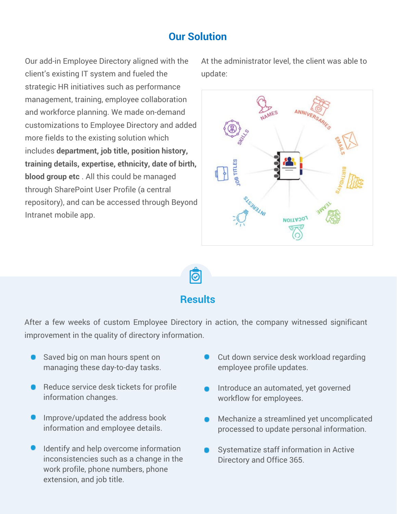#### **Our Solution**

Our add-in Employee Directory aligned with the client's existing IT system and fueled the strategic HR initiatives such as performance management, training, employee collaboration and workforce planning. We made on-demand customizations to Employee Directory and added more fields to the existing solution which includes **department, job title, position history, training details, expertise, ethnicity, date of birth, blood group etc** . All this could be managed through SharePoint User Profile (a central repository), and can be accessed through Beyond Intranet mobile app.

At the administrator level, the client was able to update:



බ

#### **Results**

After a few weeks of custom Employee Directory in action, the company witnessed significant improvement in the quality of directory information.

- Saved big on man hours spent on managing these day-to-day tasks.
- Reduce service desk tickets for profile information changes.
- Improve/updated the address book information and employee details.
- Identify and help overcome information inconsistencies such as a change in the work profile, phone numbers, phone extension, and job title.
- Cut down service desk workload regarding employee profile updates.
- Introduce an automated, yet governed workflow for employees.
- Mechanize a streamlined yet uncomplicated processed to update personal information.
- Systematize staff information in Active Directory and Office 365.